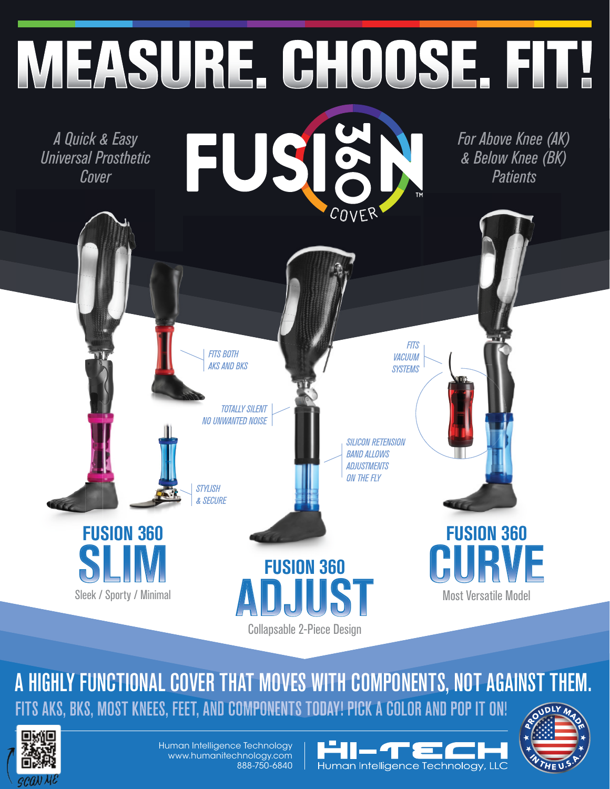

A HIGHLY FUNCTIONAL COVER THAT MOVES WITH COMPONENTS, NOT AGAINST THEM. FITS AKS, BKS, MOST KNEES, FEET, AND COMPONENTS TODAY! PICK A COLOR AND POP IT ON!



Human Intelligence Technology www.humanitechnology.com 888-750-6840